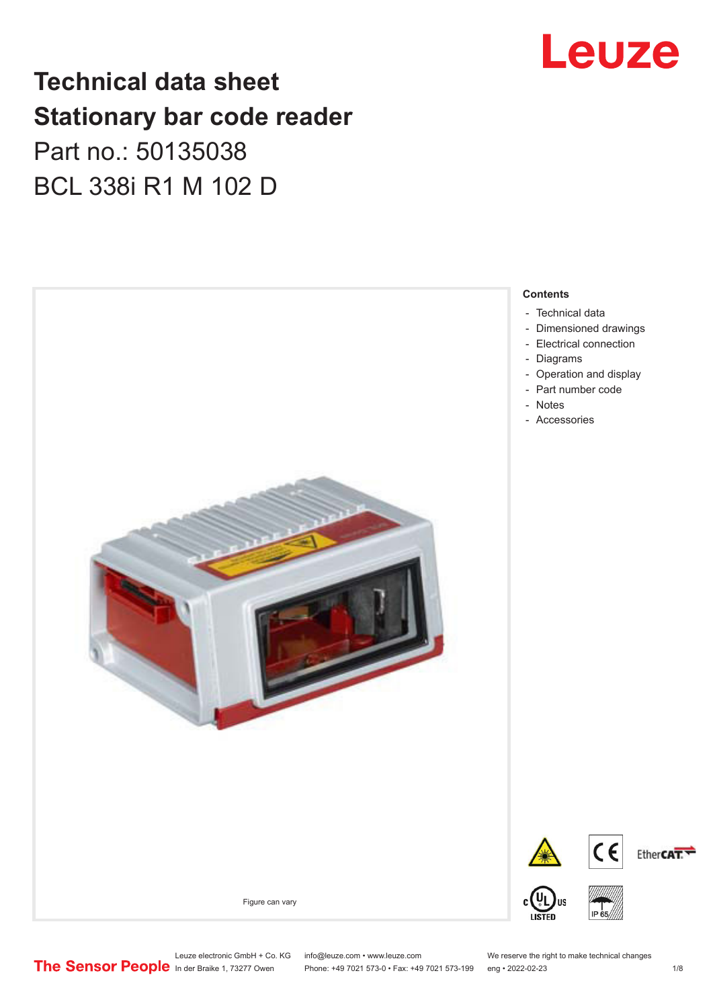## Leuze

### **Technical data sheet Stationary bar code reader** Part no.: 50135038 BCL 338i R1 M 102 D



Leuze electronic GmbH + Co. KG info@leuze.com • www.leuze.com We reserve the right to make technical changes<br>
The Sensor People in der Braike 1, 73277 Owen Phone: +49 7021 573-0 • Fax: +49 7021 573-199 eng • 2022-02-23

Phone: +49 7021 573-0 • Fax: +49 7021 573-199 eng • 2022-02-23 1 /8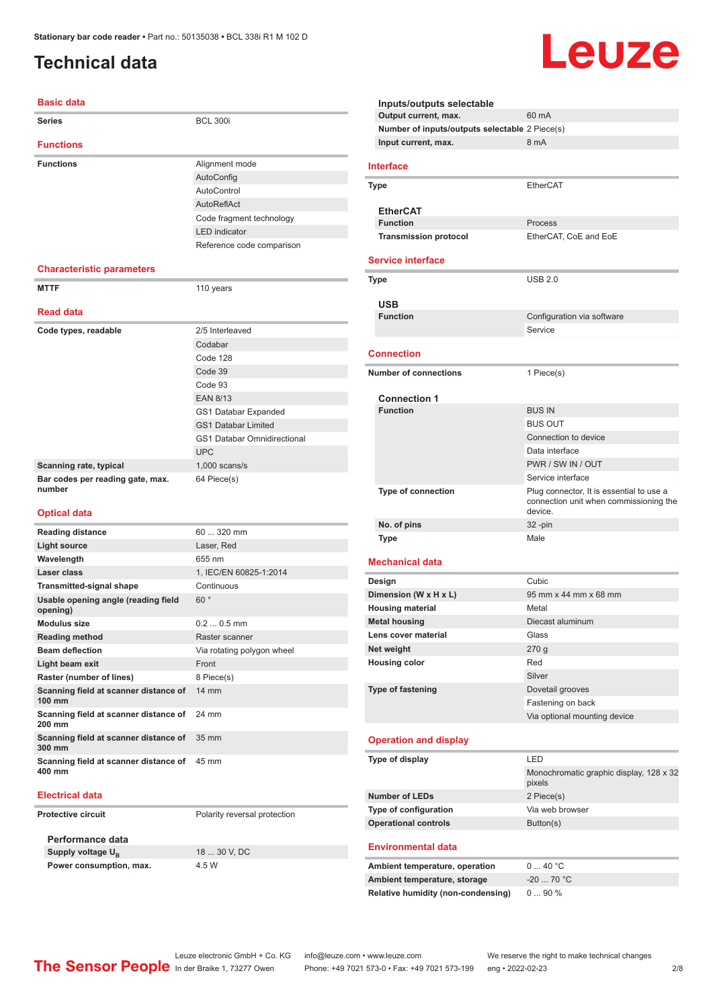### <span id="page-1-0"></span>**Technical data**

#### **Basic data**

| <b>Series</b>                                   | <b>BCL 300i</b>                    |
|-------------------------------------------------|------------------------------------|
| <b>Functions</b>                                |                                    |
| <b>Functions</b>                                | Alignment mode                     |
|                                                 | AutoConfig                         |
|                                                 | AutoControl                        |
|                                                 | AutoReflAct                        |
|                                                 | Code fragment technology           |
|                                                 | <b>LED</b> indicator               |
|                                                 | Reference code comparison          |
| <b>Characteristic parameters</b>                |                                    |
| <b>MTTF</b>                                     | 110 years                          |
| <b>Read data</b>                                |                                    |
| Code types, readable                            | 2/5 Interleaved                    |
|                                                 | Codabar                            |
|                                                 | Code 128                           |
|                                                 | Code 39                            |
|                                                 | Code 93                            |
|                                                 | <b>EAN 8/13</b>                    |
|                                                 | GS1 Databar Expanded               |
|                                                 | <b>GS1 Databar Limited</b>         |
|                                                 | <b>GS1 Databar Omnidirectional</b> |
|                                                 | <b>UPC</b>                         |
| Scanning rate, typical                          | $1,000$ scans/s                    |
| Bar codes per reading gate, max.<br>number      | 64 Piece(s)                        |
| <b>Optical data</b>                             |                                    |
| <b>Reading distance</b>                         | 60  320 mm                         |
| <b>Light source</b>                             | Laser, Red                         |
| Wavelength                                      | 655 nm                             |
| Laser class                                     | 1, IEC/EN 60825-1:2014             |
| <b>Transmitted-signal shape</b>                 | Continuous                         |
| Usable opening angle (reading field<br>opening) | 60°                                |
| <b>Modulus size</b>                             | $0.20.5$ mm                        |
|                                                 |                                    |

**Reading method** Raster scanner **Beam deflection** Via rotating polygon wheel **Light beam exit** Front **Raster (number of lines)** 8 Piece(s) **Scanning field at scanner distance of 100 mm** 14 mm **Scanning field at scanner distance of 200 mm** 24 mm **Scanning field at scanner distance of 300 mm** 35 mm **Scanning field at scanner distance of 400 mm** 45 mm

#### **Electrical data**

**Protective circuit** Polarity reversal protection

**Performance data Supply voltage U<sub>B</sub> Power consumption, max.** 4.5 W

18 30 V, DC

**Inputs/outputs selectable Output current, max.** 60 mA **Number of inputs/outputs selectable** 2 Piece(s) **Input current, max.** 8 mA **Interface Type** EtherCAT **EtherCAT Function** Process Transmission protocol<br>
EtherCAT, CoE and EoE **Service interface Type** USB 2.0 **USB Configuration** via software Service **Connection Number of connections** 1 Piece(s) **Connection 1 Function** BUS IN BUS OUT Connection to device Data interface PWR / SW IN / OUT Service interface **Type of connection** Plug connector, It is essential to use a connection unit when commissioning the device. **No. of pins** 32 -pin **Type Male Mechanical data Design Cubic Dimension (W x H x L)** 95 mm x 44 mm x 68 mm **Housing material** Metal **Metal housing** Diecast aluminum **Lens cover material** Glass **Net weight** 270 g **Housing color** Red Silver **Type of fastening** Dovetail grooves Fastening on back Via optional mounting device **Operation and display Type of display** LED Monochromatic graphic display, 128 x 32 pixels **Number of LEDs** 2 Piece(s) **Type of configuration** Via web browser **Operational controls** Button(s) **Environmental data** Ambient temperature, operation 0 ... 40 °C **Ambient temperature, storage** -20 ... 70 °C **Relative humidity (non-condensing)** 0 ... 90 %

### Leuze

|  | Leuze electronic Gn                    |
|--|----------------------------------------|
|  | The Sensor People In der Braike 1, 732 |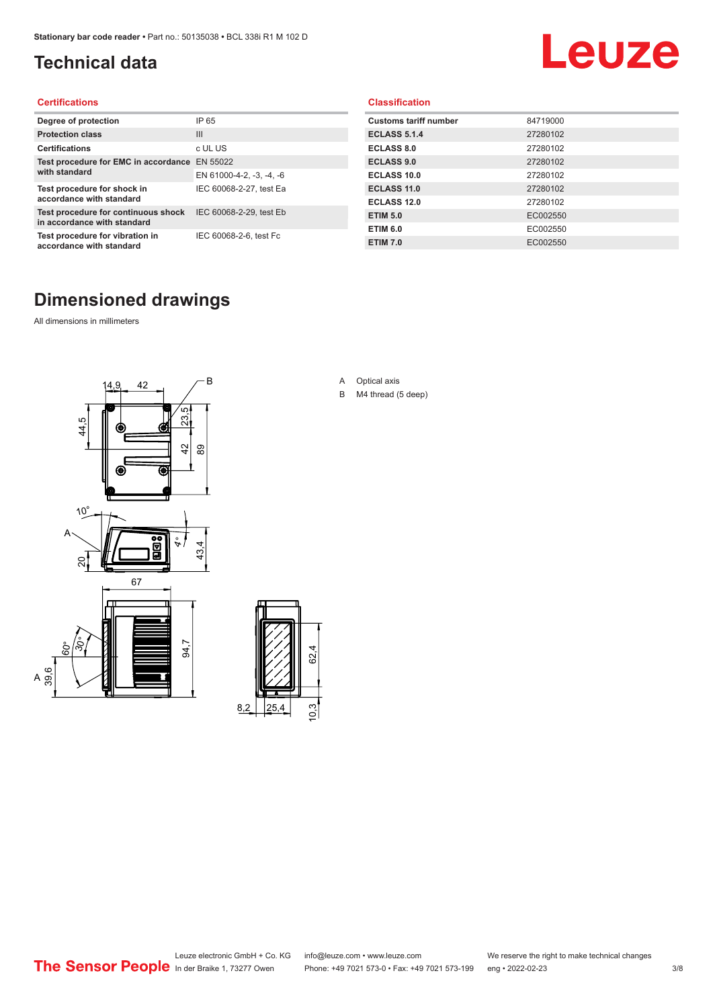### <span id="page-2-0"></span>**Technical data**

## Leuze

#### **Certifications**

| Degree of protection                                               | IP 65                    |
|--------------------------------------------------------------------|--------------------------|
| <b>Protection class</b>                                            | $\mathbf{III}$           |
| <b>Certifications</b>                                              | c UL US                  |
| Test procedure for EMC in accordance                               | EN 55022                 |
| with standard                                                      | EN 61000-4-2, -3, -4, -6 |
| Test procedure for shock in<br>accordance with standard            | IEC 60068-2-27, test Ea  |
| Test procedure for continuous shock<br>in accordance with standard | IEC 60068-2-29, test Eb  |
| Test procedure for vibration in<br>accordance with standard        | IEC 60068-2-6, test Fc   |

#### **Classification**

| <b>Customs tariff number</b> | 84719000 |
|------------------------------|----------|
| <b>ECLASS 5.1.4</b>          | 27280102 |
| <b>ECLASS 8.0</b>            | 27280102 |
| <b>ECLASS 9.0</b>            | 27280102 |
| ECLASS 10.0                  | 27280102 |
| <b>ECLASS 11.0</b>           | 27280102 |
| ECLASS 12.0                  | 27280102 |
| <b>ETIM 5.0</b>              | EC002550 |
| <b>ETIM 6.0</b>              | EC002550 |
| <b>ETIM 7.0</b>              | EC002550 |

### **Dimensioned drawings**

All dimensions in millimeters

 $\overline{A}$ 





- A Optical axis
- B M4 thread (5 deep)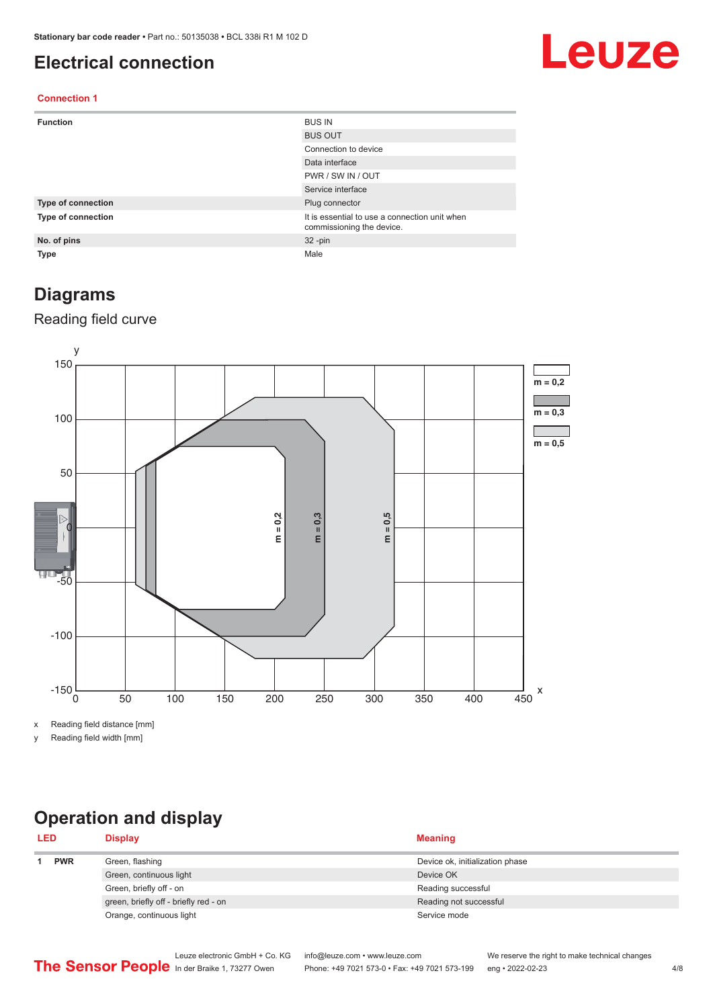#### <span id="page-3-0"></span>**Electrical connection**

## Leuze

#### **Connection 1**

| <b>Function</b>    | <b>BUS IN</b>                                                              |
|--------------------|----------------------------------------------------------------------------|
|                    | <b>BUS OUT</b>                                                             |
|                    | Connection to device                                                       |
|                    | Data interface                                                             |
|                    | PWR / SW IN / OUT                                                          |
|                    | Service interface                                                          |
| Type of connection | Plug connector                                                             |
| Type of connection | It is essential to use a connection unit when<br>commissioning the device. |
| No. of pins        | $32 - pin$                                                                 |
| <b>Type</b>        | Male                                                                       |

#### **Diagrams**

#### Reading field curve



x Reading field distance [mm]

y Reading field width [mm]

### **Operation and display**

| <b>LED</b> |  | <b>Display</b>                        | <b>Meaning</b>                  |
|------------|--|---------------------------------------|---------------------------------|
| <b>PWR</b> |  | Green, flashing                       | Device ok, initialization phase |
|            |  | Green, continuous light               | Device OK                       |
|            |  | Green, briefly off - on               | Reading successful              |
|            |  | green, briefly off - briefly red - on | Reading not successful          |
|            |  | Orange, continuous light              | Service mode                    |
|            |  |                                       |                                 |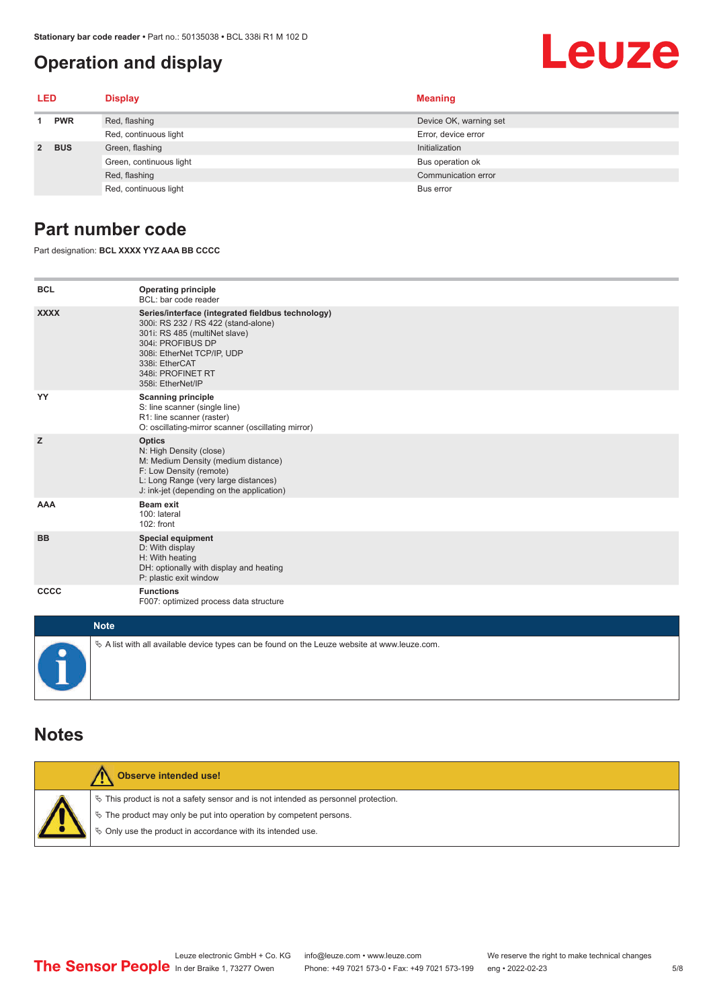#### <span id="page-4-0"></span>**Operation and display**

# Leuze

| LED         |            | <b>Display</b>          | <b>Meaning</b>         |
|-------------|------------|-------------------------|------------------------|
| <b>PWR</b>  |            | Red, flashing           | Device OK, warning set |
|             |            | Red, continuous light   | Error, device error    |
| $2^{\circ}$ | <b>BUS</b> | Green, flashing         | Initialization         |
|             |            | Green, continuous light | Bus operation ok       |
|             |            | Red, flashing           | Communication error    |
|             |            | Red, continuous light   | Bus error              |

#### **Part number code**

Part designation: **BCL XXXX YYZ AAA BB CCCC**

| <b>BCL</b>  | <b>Operating principle</b><br>BCL: bar code reader                                                                                                                                                                                       |
|-------------|------------------------------------------------------------------------------------------------------------------------------------------------------------------------------------------------------------------------------------------|
| <b>XXXX</b> | Series/interface (integrated fieldbus technology)<br>300i: RS 232 / RS 422 (stand-alone)<br>301i: RS 485 (multiNet slave)<br>304i: PROFIBUS DP<br>308i: EtherNet TCP/IP, UDP<br>338i: EtherCAT<br>348i: PROFINET RT<br>358i: EtherNet/IP |
| YY          | <b>Scanning principle</b><br>S: line scanner (single line)<br>R1: line scanner (raster)<br>O: oscillating-mirror scanner (oscillating mirror)                                                                                            |
| z           | <b>Optics</b><br>N: High Density (close)<br>M: Medium Density (medium distance)<br>F: Low Density (remote)<br>L: Long Range (very large distances)<br>J: ink-jet (depending on the application)                                          |
| <b>AAA</b>  | <b>Beam exit</b><br>100: lateral<br>102: front                                                                                                                                                                                           |
| <b>BB</b>   | <b>Special equipment</b><br>D: With display<br>H: With heating<br>DH: optionally with display and heating<br>P: plastic exit window                                                                                                      |
| CCCC        | <b>Functions</b><br>F007: optimized process data structure                                                                                                                                                                               |
| $1.1 - 4.1$ |                                                                                                                                                                                                                                          |

| <b>Note</b>                                                                                       |
|---------------------------------------------------------------------------------------------------|
| $\phi$ A list with all available device types can be found on the Leuze website at www.leuze.com. |

#### **Notes**

| <b>Observe intended use!</b>                                                                                                                                                                                                  |
|-------------------------------------------------------------------------------------------------------------------------------------------------------------------------------------------------------------------------------|
| $\%$ This product is not a safety sensor and is not intended as personnel protection.<br>$\%$ The product may only be put into operation by competent persons.<br>₿ Only use the product in accordance with its intended use. |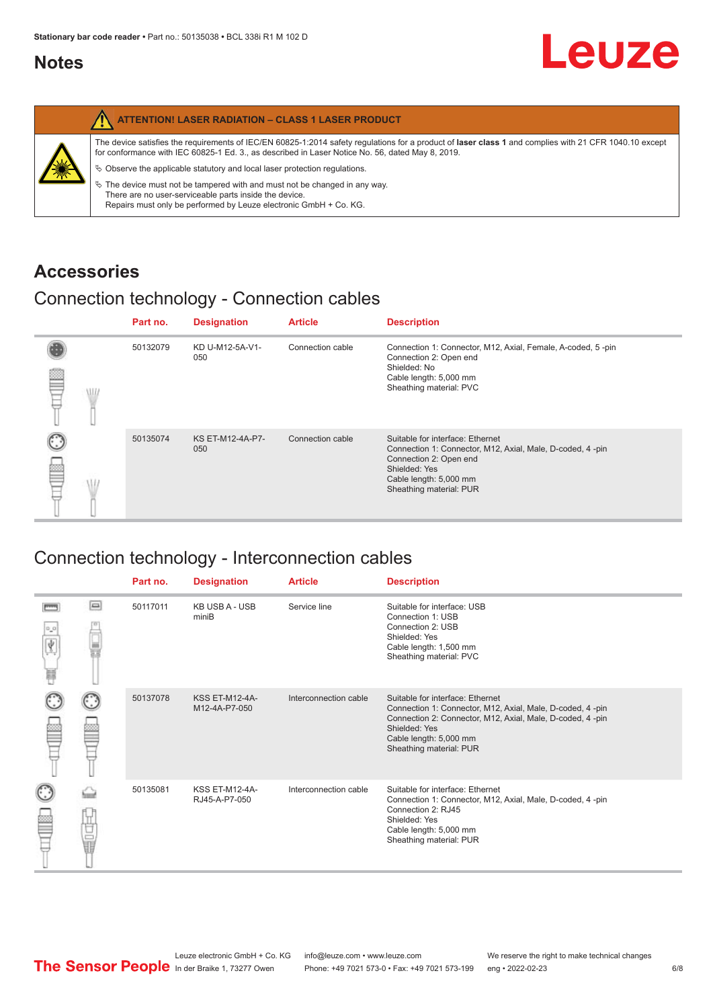#### <span id="page-5-0"></span>**Notes**

|   | <b>ATTENTION! LASER RADIATION - CLASS 1 LASER PRODUCT</b>                                                                                                                                                                                                  |
|---|------------------------------------------------------------------------------------------------------------------------------------------------------------------------------------------------------------------------------------------------------------|
| 纂 | The device satisfies the requirements of IEC/EN 60825-1:2014 safety requlations for a product of laser class 1 and complies with 21 CFR 1040.10 except<br>for conformance with IEC 60825-1 Ed. 3., as described in Laser Notice No. 56, dated May 8, 2019. |
|   | $\&$ Observe the applicable statutory and local laser protection regulations.                                                                                                                                                                              |
|   | $\%$ The device must not be tampered with and must not be changed in any way.<br>There are no user-serviceable parts inside the device.<br>Repairs must only be performed by Leuze electronic GmbH + Co. KG.                                               |

#### **Accessories**

#### Connection technology - Connection cables

|   |   | Part no. | <b>Designation</b>      | <b>Article</b>   | <b>Description</b>                                                                                                                                                                            |
|---|---|----------|-------------------------|------------------|-----------------------------------------------------------------------------------------------------------------------------------------------------------------------------------------------|
| ≝ | W | 50132079 | KD U-M12-5A-V1-<br>050  | Connection cable | Connection 1: Connector, M12, Axial, Female, A-coded, 5-pin<br>Connection 2: Open end<br>Shielded: No<br>Cable length: 5,000 mm<br>Sheathing material: PVC                                    |
|   |   | 50135074 | KS ET-M12-4A-P7-<br>050 | Connection cable | Suitable for interface: Ethernet<br>Connection 1: Connector, M12, Axial, Male, D-coded, 4-pin<br>Connection 2: Open end<br>Shielded: Yes<br>Cable length: 5,000 mm<br>Sheathing material: PUR |

### Connection technology - Interconnection cables

|   |     | Part no. | <b>Designation</b>                     | <b>Article</b>        | <b>Description</b>                                                                                                                                                                                                               |
|---|-----|----------|----------------------------------------|-----------------------|----------------------------------------------------------------------------------------------------------------------------------------------------------------------------------------------------------------------------------|
| Ħ | e   | 50117011 | <b>KB USB A - USB</b><br>miniB         | Service line          | Suitable for interface: USB<br>Connection 1: USB<br>Connection 2: USB<br>Shielded: Yes<br>Cable length: 1,500 mm<br>Sheathing material: PVC                                                                                      |
|   |     | 50137078 | <b>KSS ET-M12-4A-</b><br>M12-4A-P7-050 | Interconnection cable | Suitable for interface: Ethernet<br>Connection 1: Connector, M12, Axial, Male, D-coded, 4-pin<br>Connection 2: Connector, M12, Axial, Male, D-coded, 4-pin<br>Shielded: Yes<br>Cable length: 5,000 mm<br>Sheathing material: PUR |
|   | the | 50135081 | <b>KSS ET-M12-4A-</b><br>RJ45-A-P7-050 | Interconnection cable | Suitable for interface: Ethernet<br>Connection 1: Connector, M12, Axial, Male, D-coded, 4-pin<br>Connection 2: RJ45<br>Shielded: Yes<br>Cable length: 5,000 mm<br>Sheathing material: PUR                                        |

Leuze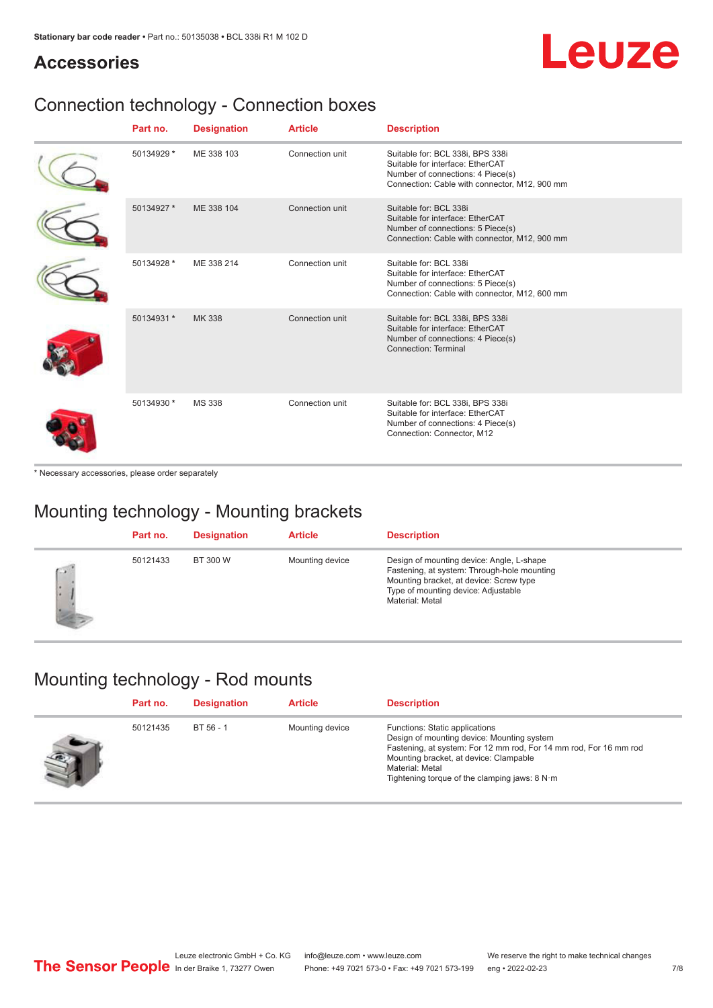## Leuze

#### **Accessories**

### Connection technology - Connection boxes

| Part no.   | <b>Designation</b> | <b>Article</b>  | <b>Description</b>                                                                                                                                         |
|------------|--------------------|-----------------|------------------------------------------------------------------------------------------------------------------------------------------------------------|
| 50134929 * | ME 338 103         | Connection unit | Suitable for: BCL 338i, BPS 338i<br>Suitable for interface: EtherCAT<br>Number of connections: 4 Piece(s)<br>Connection: Cable with connector, M12, 900 mm |
| 50134927 * | ME 338 104         | Connection unit | Suitable for: BCL 338i<br>Suitable for interface: EtherCAT<br>Number of connections: 5 Piece(s)<br>Connection: Cable with connector, M12, 900 mm           |
| 50134928 * | ME 338 214         | Connection unit | Suitable for: BCL 338i<br>Suitable for interface: EtherCAT<br>Number of connections: 5 Piece(s)<br>Connection: Cable with connector, M12, 600 mm           |
| 50134931 * | <b>MK338</b>       | Connection unit | Suitable for: BCL 338i, BPS 338i<br>Suitable for interface: EtherCAT<br>Number of connections: 4 Piece(s)<br>Connection: Terminal                          |
| 50134930 * | <b>MS 338</b>      | Connection unit | Suitable for: BCL 338i, BPS 338i<br>Suitable for interface: EtherCAT<br>Number of connections: 4 Piece(s)<br>Connection: Connector, M12                    |

\* Necessary accessories, please order separately

### Mounting technology - Mounting brackets

|              | Part no. | <b>Designation</b> | <b>Article</b>  | <b>Description</b>                                                                                                                                                                            |
|--------------|----------|--------------------|-----------------|-----------------------------------------------------------------------------------------------------------------------------------------------------------------------------------------------|
| $\sim$<br>ı. | 50121433 | BT 300 W           | Mounting device | Design of mounting device: Angle, L-shape<br>Fastening, at system: Through-hole mounting<br>Mounting bracket, at device: Screw type<br>Type of mounting device: Adjustable<br>Material: Metal |

#### Mounting technology - Rod mounts

| Part no. | <b>Designation</b> | <b>Article</b>  | <b>Description</b>                                                                                                                                                                                                                                                |
|----------|--------------------|-----------------|-------------------------------------------------------------------------------------------------------------------------------------------------------------------------------------------------------------------------------------------------------------------|
| 50121435 | BT 56 - 1          | Mounting device | Functions: Static applications<br>Design of mounting device: Mounting system<br>Fastening, at system: For 12 mm rod, For 14 mm rod, For 16 mm rod<br>Mounting bracket, at device: Clampable<br>Material: Metal<br>Tightening torque of the clamping jaws: $8 N·m$ |